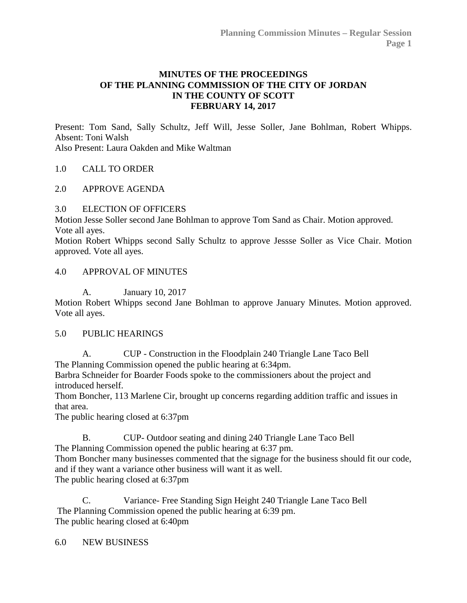## **MINUTES OF THE PROCEEDINGS OF THE PLANNING COMMISSION OF THE CITY OF JORDAN IN THE COUNTY OF SCOTT FEBRUARY 14, 2017**

Present: Tom Sand, Sally Schultz, Jeff Will, Jesse Soller, Jane Bohlman, Robert Whipps. Absent: Toni Walsh Also Present: Laura Oakden and Mike Waltman

## 1.0 [CALL TO ORDER](http://jordan-mn.granicus.com/wordlinkreceiver.php?clip_id=b8664644-af4d-4ccb-ad3f-d4c7813c7205&meta_id=83ccd833-97c6-4532-a4b5-3c70ab76b010&time=6)

#### 2.0 [APPROVE AGENDA](http://jordan-mn.granicus.com/wordlinkreceiver.php?clip_id=b8664644-af4d-4ccb-ad3f-d4c7813c7205&meta_id=c70d47d2-1a82-455e-a152-6ac61701670d&time=22)

## 3.0 [ELECTION OF OFFICERS](http://jordan-mn.granicus.com/wordlinkreceiver.php?clip_id=b8664644-af4d-4ccb-ad3f-d4c7813c7205&meta_id=ebe85b77-3216-4ff0-8bd4-14dbc8e979ac&time=46)

Motion Jesse Soller second Jane Bohlman to approve Tom Sand as Chair. Motion approved. Vote all ayes.

Motion Robert Whipps second Sally Schultz to approve Jessse Soller as Vice Chair. Motion approved. Vote all ayes.

## 4.0 [APPROVAL OF MINUTES](http://jordan-mn.granicus.com/wordlinkreceiver.php?clip_id=b8664644-af4d-4ccb-ad3f-d4c7813c7205&meta_id=a57a6ba2-2061-4456-ae4b-7ac4e0dfc1ce&time=189)

A. January 10, 2017

Motion Robert Whipps second Jane Bohlman to approve January Minutes. Motion approved. Vote all ayes.

#### 5.0 [PUBLIC HEARINGS](http://jordan-mn.granicus.com/wordlinkreceiver.php?clip_id=b8664644-af4d-4ccb-ad3f-d4c7813c7205&meta_id=2707152e-35e6-46e7-a0ed-e5b8664ba8a9&time=212)

A. CUP - [Construction in the Floodplain 240 Triangle Lane Taco Bell](http://jordan-mn.granicus.com/wordlinkreceiver.php?clip_id=b8664644-af4d-4ccb-ad3f-d4c7813c7205&meta_id=154f84d4-599c-4e8f-8ecf-52000b255028&time=267) The Planning Commission opened the public hearing at 6:34pm.

Barbra Schneider for Boarder Foods spoke to the commissioners about the project and introduced herself.

Thom Boncher, 113 Marlene Cir, brought up concerns regarding addition traffic and issues in that area.

The public hearing closed at 6:37pm

B. CUP- [Outdoor seating and dining 240 Triangle Lane Taco Bell](http://jordan-mn.granicus.com/wordlinkreceiver.php?clip_id=b8664644-af4d-4ccb-ad3f-d4c7813c7205&meta_id=7a5a871a-5825-4884-bb28-cafa5317df4e&time=430) The Planning Commission opened the public hearing at 6:37 pm.

Thom Boncher many businesses commented that the signage for the business should fit our code, and if they want a variance other business will want it as well. The public hearing closed at 6:37pm

C. Variance- [Free Standing Sign Height 240 Triangle Lane Taco Bell](http://jordan-mn.granicus.com/wordlinkreceiver.php?clip_id=b8664644-af4d-4ccb-ad3f-d4c7813c7205&meta_id=95dafed4-97b8-4238-8f60-9442ca60ba89&time=529) The Planning Commission opened the public hearing at 6:39 pm. The public hearing closed at 6:40pm

6.0 [NEW BUSINESS](http://jordan-mn.granicus.com/wordlinkreceiver.php?clip_id=b8664644-af4d-4ccb-ad3f-d4c7813c7205&meta_id=9630a478-a8f3-4ab7-b197-17eab163544f&time=566)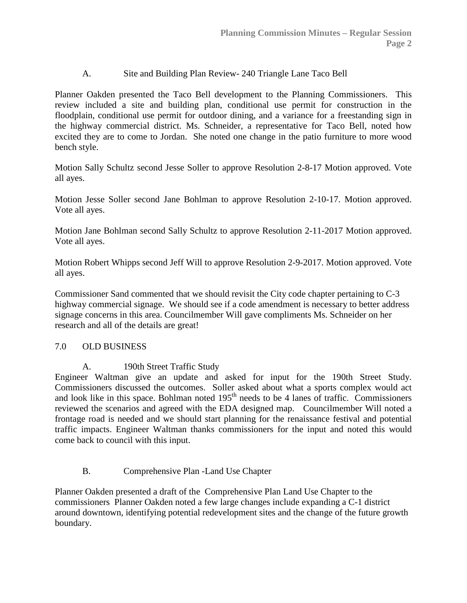# A. [Site and Building Plan Review-](http://jordan-mn.granicus.com/wordlinkreceiver.php?clip_id=b8664644-af4d-4ccb-ad3f-d4c7813c7205&meta_id=f318f880-2461-4bb1-bf15-7eec73c4e852&time=566) 240 Triangle Lane Taco Bell

Planner Oakden presented the Taco Bell development to the Planning Commissioners. This review included a site and building plan, conditional use permit for construction in the floodplain, conditional use permit for outdoor dining, and a variance for a freestanding sign in the highway commercial district. Ms. Schneider, a representative for Taco Bell, noted how excited they are to come to Jordan. She noted one change in the patio furniture to more wood bench style.

Motion Sally Schultz second Jesse Soller to approve Resolution 2-8-17 Motion approved. Vote all ayes.

Motion Jesse Soller second Jane Bohlman to approve Resolution 2-10-17. Motion approved. Vote all ayes.

Motion Jane Bohlman second Sally Schultz to approve Resolution 2-11-2017 Motion approved. Vote all ayes.

Motion Robert Whipps second Jeff Will to approve Resolution 2-9-2017. Motion approved. Vote all ayes.

Commissioner Sand commented that we should revisit the City code chapter pertaining to C-3 highway commercial signage. We should see if a code amendment is necessary to better address signage concerns in this area. Councilmember Will gave compliments Ms. Schneider on her research and all of the details are great!

## 7.0 [OLD BUSINESS](http://jordan-mn.granicus.com/wordlinkreceiver.php?clip_id=b8664644-af4d-4ccb-ad3f-d4c7813c7205&meta_id=82203701-2d5b-4946-be32-f9dd25494308&time=3121)

## A. [190th Street Traffic Study](http://jordan-mn.granicus.com/wordlinkreceiver.php?clip_id=b8664644-af4d-4ccb-ad3f-d4c7813c7205&meta_id=6c140587-0b4c-42c0-866a-45a13e57ea4e&time=3122)

Engineer Waltman give an update and asked for input for the 190th Street Study. Commissioners discussed the outcomes. Soller asked about what a sports complex would act and look like in this space. Bohlman noted  $195<sup>th</sup>$  needs to be 4 lanes of traffic. Commissioners reviewed the scenarios and agreed with the EDA designed map. Councilmember Will noted a frontage road is needed and we should start planning for the renaissance festival and potential traffic impacts. Engineer Waltman thanks commissioners for the input and noted this would come back to council with this input.

## B. [Comprehensive Plan -Land Use Chapter](http://jordan-mn.granicus.com/wordlinkreceiver.php?clip_id=b8664644-af4d-4ccb-ad3f-d4c7813c7205&meta_id=eb640df2-b41c-40e7-8e11-c6e6365327cf&time=4298)

Planner Oakden presented a draft of the Comprehensive Plan Land Use Chapter to the commissioners Planner Oakden noted a few large changes include expanding a C-1 district around downtown, identifying potential redevelopment sites and the change of the future growth boundary.